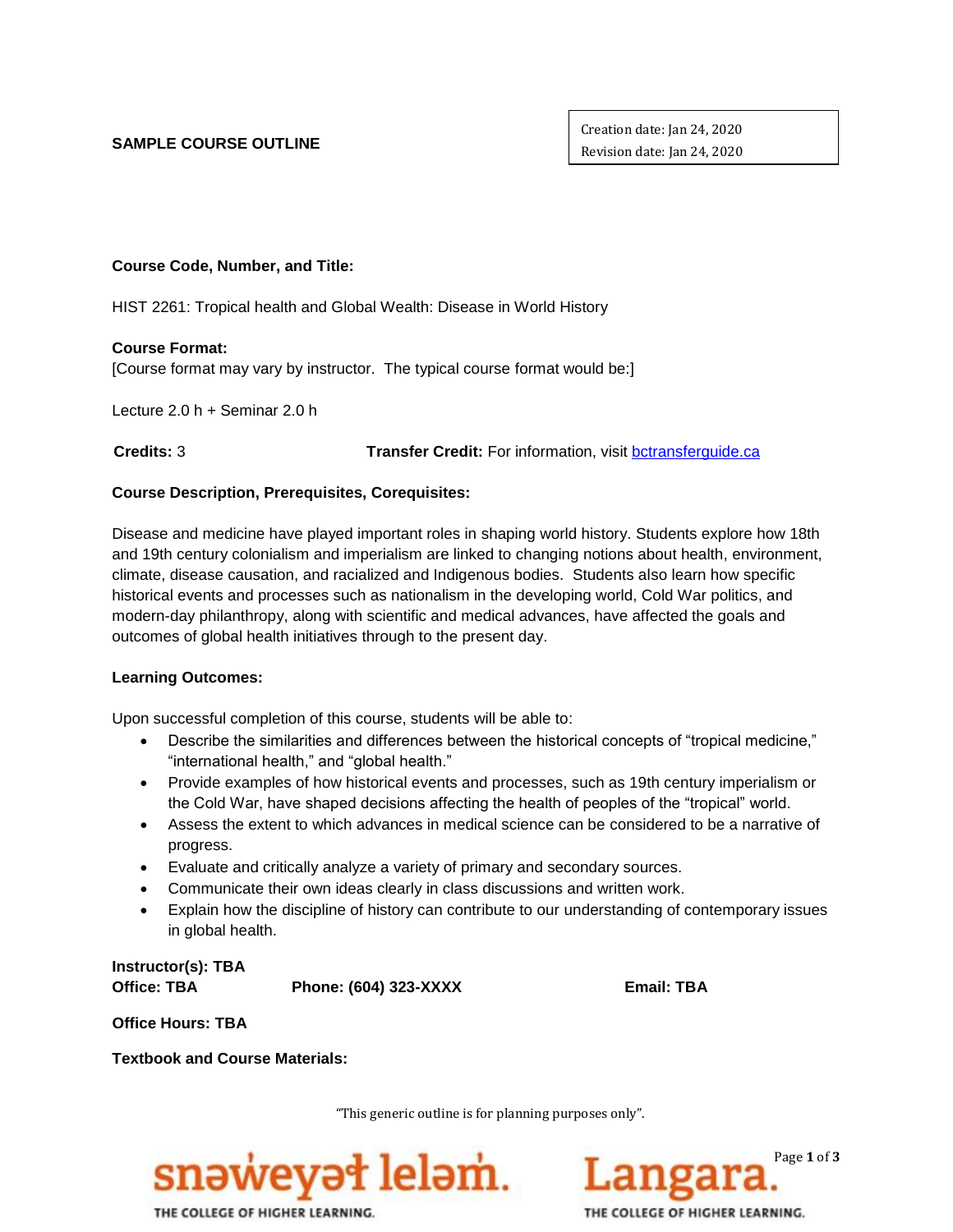## **SAMPLE COURSE OUTLINE**

Creation date: Jan 24, 2020 Revision date: Jan 24, 2020

# **Course Code, Number, and Title:**

HIST 2261: Tropical health and Global Wealth: Disease in World History

## **Course Format:**

[Course format may vary by instructor. The typical course format would be:]

Lecture 2.0 h + Seminar 2.0 h

 **Credits:** 3 **Transfer Credit:** For information, visit [bctransferguide.ca](http://www.bctransferguide.ca/)

# **Course Description, Prerequisites, Corequisites:**

Disease and medicine have played important roles in shaping world history. Students explore how 18th and 19th century colonialism and imperialism are linked to changing notions about health, environment, climate, disease causation, and racialized and Indigenous bodies. Students also learn how specific historical events and processes such as nationalism in the developing world, Cold War politics, and modern-day philanthropy, along with scientific and medical advances, have affected the goals and outcomes of global health initiatives through to the present day.

## **Learning Outcomes:**

Upon successful completion of this course, students will be able to:

- Describe the similarities and differences between the historical concepts of "tropical medicine," "international health," and "global health."
- Provide examples of how historical events and processes, such as 19th century imperialism or the Cold War, have shaped decisions affecting the health of peoples of the "tropical" world.
- Assess the extent to which advances in medical science can be considered to be a narrative of progress.
- Evaluate and critically analyze a variety of primary and secondary sources.
- Communicate their own ideas clearly in class discussions and written work.
- Explain how the discipline of history can contribute to our understanding of contemporary issues in global health.

**Instructor(s): TBA Office: TBA Phone: (604) 323-XXXX Email: TBA**

**Office Hours: TBA**

**Textbook and Course Materials:**

"This generic outline is for planning purposes only".



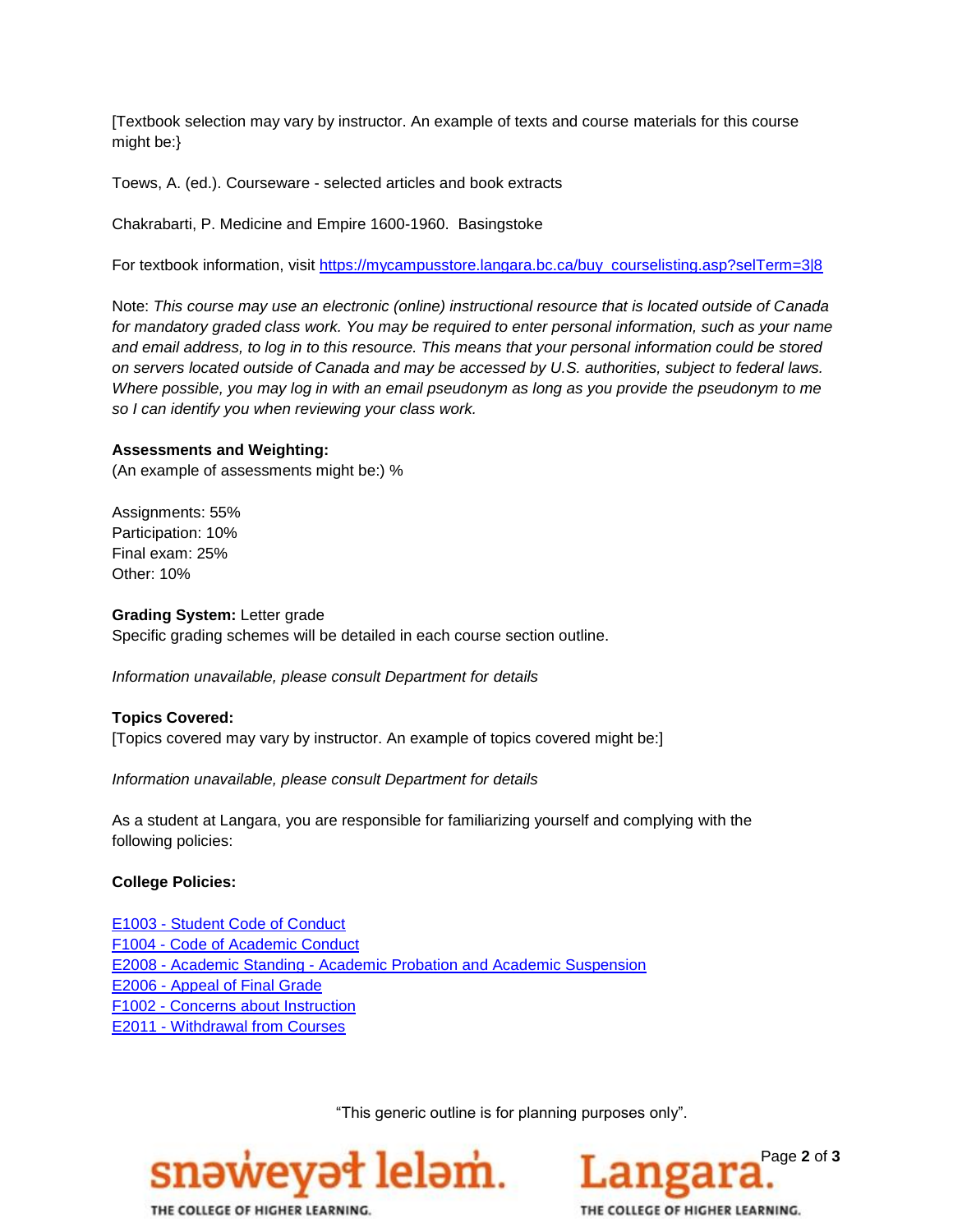[Textbook selection may vary by instructor. An example of texts and course materials for this course might be:}

Toews, A. (ed.). Courseware - selected articles and book extracts

Chakrabarti, P. Medicine and Empire 1600-1960. Basingstoke

For textbook information, visit [https://mycampusstore.langara.bc.ca/buy\\_courselisting.asp?selTerm=3|8](https://mycampusstore.langara.bc.ca/buy_courselisting.asp?selTerm=3|8)

Note: *This course may use an electronic (online) instructional resource that is located outside of Canada for mandatory graded class work. You may be required to enter personal information, such as your name and email address, to log in to this resource. This means that your personal information could be stored on servers located outside of Canada and may be accessed by U.S. authorities, subject to federal laws. Where possible, you may log in with an email pseudonym as long as you provide the pseudonym to me so I can identify you when reviewing your class work.*

#### **Assessments and Weighting:**

(An example of assessments might be:) %

Assignments: 55% Participation: 10% Final exam: 25% Other: 10%

#### **Grading System:** Letter grade

Specific grading schemes will be detailed in each course section outline.

*Information unavailable, please consult Department for details*

# **Topics Covered:**

[Topics covered may vary by instructor. An example of topics covered might be:]

*Information unavailable, please consult Department for details*

As a student at Langara, you are responsible for familiarizing yourself and complying with the following policies:

## **College Policies:**

E1003 - [Student Code of Conduct](https://langara.ca/about-langara/policies/pdf/E1003.pdf)  F1004 - [Code of Academic](http://langara.bc.ca/registration-and-records/pdf/F1004.pdf) Conduct E2008 - Academic Standing - [Academic Probation and Academic Suspension](file://///EMPLHOME_SERVER/HOME/ACCOUNTS/EMPL/SBOWERS/Committee%20Work/Course%20Outline%20Policy%20Committee/E2008%20-%20Academic%20Standing%20-%20Academic%20Probation%20and%20Academic%20Suspension) E2006 - [Appeal of Final Grade](http://langara.bc.ca/registration-and-records/pdf/E2006.pdf) F1002 - [Concerns about Instruction](http://langara.bc.ca/registration-and-records/pdf/F1002.pdf) E2011 - [Withdrawal from Courses](http://langara.bc.ca/registration-and-records/pdf/E2011.pdf)

"This generic outline is for planning purposes only".





THE COLLEGE OF HIGHER LEARNING.